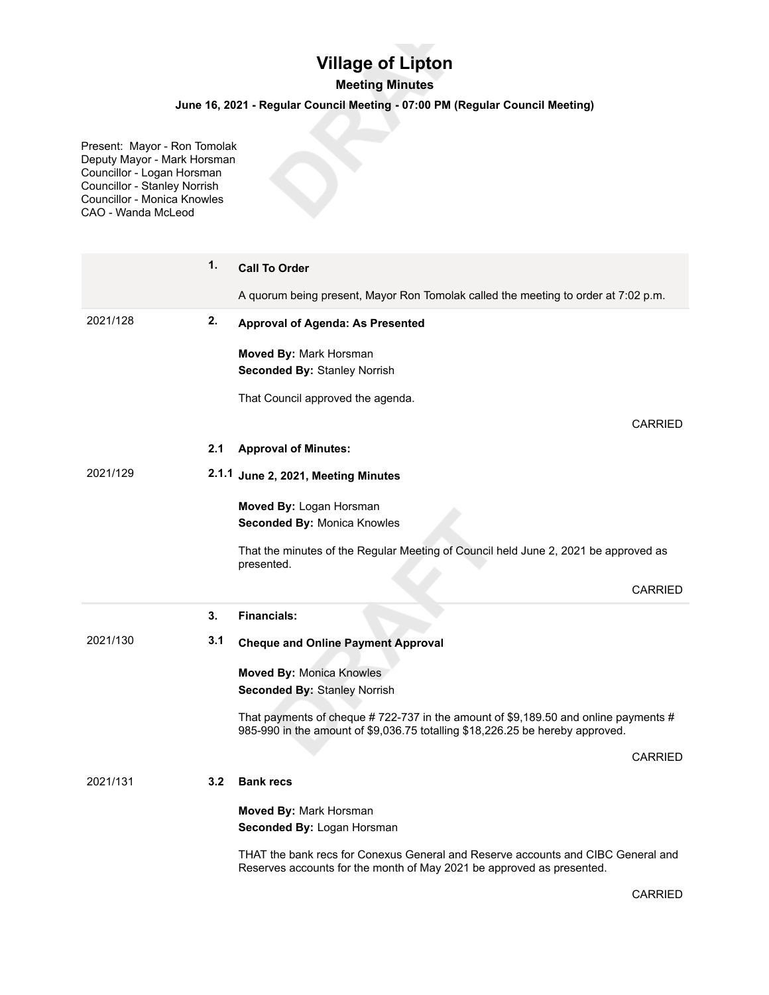## **Village of Lipton**

## **Meeting Minutes**

## **June 16, 2021 - Regular Council Meeting - 07:00 PM (Regular Council Meeting)**

Present: Mayor - Ron Tomolak Deputy Mayor - Mark Horsman Councillor - Logan Horsman Councillor - Stanley Norrish Councillor - Monica Knowles CAO - Wanda McLeod

|          | 1.  | <b>Call To Order</b>                                                                                                                                                |  |  |  |
|----------|-----|---------------------------------------------------------------------------------------------------------------------------------------------------------------------|--|--|--|
|          |     | A quorum being present, Mayor Ron Tomolak called the meeting to order at 7:02 p.m.                                                                                  |  |  |  |
| 2021/128 | 2.  | <b>Approval of Agenda: As Presented</b>                                                                                                                             |  |  |  |
|          |     | Moved By: Mark Horsman                                                                                                                                              |  |  |  |
|          |     | <b>Seconded By: Stanley Norrish</b>                                                                                                                                 |  |  |  |
|          |     | That Council approved the agenda.                                                                                                                                   |  |  |  |
|          |     | <b>CARRIED</b>                                                                                                                                                      |  |  |  |
|          | 2.1 | <b>Approval of Minutes:</b>                                                                                                                                         |  |  |  |
| 2021/129 |     | 2.1.1 June 2, 2021, Meeting Minutes                                                                                                                                 |  |  |  |
|          |     | Moved By: Logan Horsman                                                                                                                                             |  |  |  |
|          |     | Seconded By: Monica Knowles                                                                                                                                         |  |  |  |
|          |     | That the minutes of the Regular Meeting of Council held June 2, 2021 be approved as<br>presented.                                                                   |  |  |  |
|          |     | <b>CARRIED</b>                                                                                                                                                      |  |  |  |
|          | 3.  | <b>Financials:</b>                                                                                                                                                  |  |  |  |
| 2021/130 | 3.1 | <b>Cheque and Online Payment Approval</b>                                                                                                                           |  |  |  |
|          |     | <b>Moved By: Monica Knowles</b>                                                                                                                                     |  |  |  |
|          |     | <b>Seconded By: Stanley Norrish</b>                                                                                                                                 |  |  |  |
|          |     | That payments of cheque #722-737 in the amount of \$9,189.50 and online payments #<br>985-990 in the amount of \$9,036.75 totalling \$18,226.25 be hereby approved. |  |  |  |
|          |     | <b>CARRIED</b>                                                                                                                                                      |  |  |  |
| 2021/131 | 3.2 | <b>Bank recs</b>                                                                                                                                                    |  |  |  |
|          |     | Moved By: Mark Horsman                                                                                                                                              |  |  |  |
|          |     |                                                                                                                                                                     |  |  |  |
|          |     | Seconded By: Logan Horsman                                                                                                                                          |  |  |  |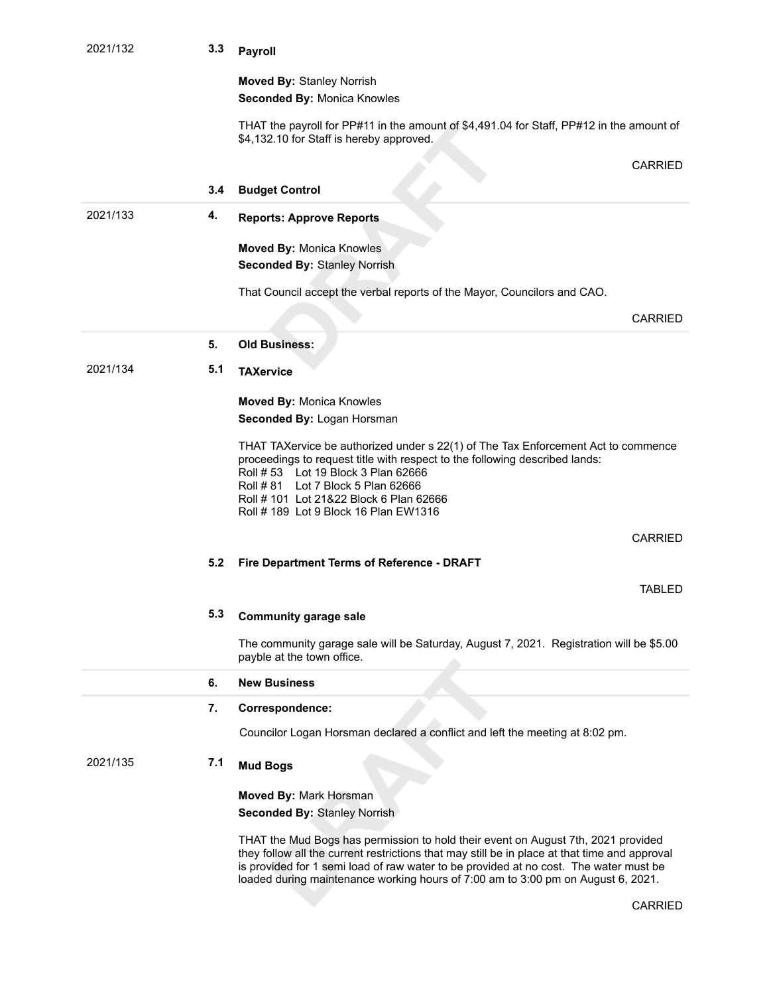| 2021/132 | 3.3 | Payroll                                                                                                                                                                                                                                                                                                                                                         |
|----------|-----|-----------------------------------------------------------------------------------------------------------------------------------------------------------------------------------------------------------------------------------------------------------------------------------------------------------------------------------------------------------------|
|          |     | <b>Moved By: Stanley Norrish</b><br>Seconded By: Monica Knowles                                                                                                                                                                                                                                                                                                 |
|          |     | THAT the payroll for PP#11 in the amount of \$4,491.04 for Staff, PP#12 in the amount of<br>\$4,132.10 for Staff is hereby approved.                                                                                                                                                                                                                            |
|          |     | CARRIED                                                                                                                                                                                                                                                                                                                                                         |
|          | 3.4 | <b>Budget Control</b>                                                                                                                                                                                                                                                                                                                                           |
| 2021/133 | 4.  | <b>Reports: Approve Reports</b>                                                                                                                                                                                                                                                                                                                                 |
|          |     | <b>Moved By: Monica Knowles</b><br><b>Seconded By: Stanley Norrish</b>                                                                                                                                                                                                                                                                                          |
|          |     | That Council accept the verbal reports of the Mayor, Councilors and CAO.                                                                                                                                                                                                                                                                                        |
|          |     | <b>CARRIED</b>                                                                                                                                                                                                                                                                                                                                                  |
|          | 5.  | <b>Old Business:</b>                                                                                                                                                                                                                                                                                                                                            |
| 2021/134 | 5.1 | <b>TAXervice</b>                                                                                                                                                                                                                                                                                                                                                |
|          |     | <b>Moved By: Monica Knowles</b><br>Seconded By: Logan Horsman                                                                                                                                                                                                                                                                                                   |
|          |     | THAT TAXervice be authorized under s 22(1) of The Tax Enforcement Act to commence<br>proceedings to request title with respect to the following described lands:<br>Roll # 53    Lot 19    Block 3    Plan 62666<br>Lot 7 Block 5 Plan 62666<br>Roll # 81<br>Roll # 101 Lot 21&22 Block 6 Plan 62666<br>Roll # 189 Lot 9 Block 16 Plan EW1316                   |
|          |     | <b>CARRIED</b>                                                                                                                                                                                                                                                                                                                                                  |
|          | 5.2 | Fire Department Terms of Reference - DRAFT                                                                                                                                                                                                                                                                                                                      |
|          |     | TABLED                                                                                                                                                                                                                                                                                                                                                          |
|          | 5.3 | <b>Community garage sale</b>                                                                                                                                                                                                                                                                                                                                    |
|          |     | The community garage sale will be Saturday, August 7, 2021. Registration will be \$5.00<br>payble at the town office.                                                                                                                                                                                                                                           |
|          | 6.  | <b>New Business</b>                                                                                                                                                                                                                                                                                                                                             |
|          | 7.  | Correspondence:                                                                                                                                                                                                                                                                                                                                                 |
|          |     | Councilor Logan Horsman declared a conflict and left the meeting at 8:02 pm.                                                                                                                                                                                                                                                                                    |
| 2021/135 | 7.1 | <b>Mud Bogs</b>                                                                                                                                                                                                                                                                                                                                                 |
|          |     | Moved By: Mark Horsman<br><b>Seconded By: Stanley Norrish</b>                                                                                                                                                                                                                                                                                                   |
|          |     | THAT the Mud Bogs has permission to hold their event on August 7th, 2021 provided<br>they follow all the current restrictions that may still be in place at that time and approval<br>is provided for 1 semi load of raw water to be provided at no cost. The water must be<br>loaded during maintenance working hours of 7:00 am to 3:00 pm on August 6, 2021. |